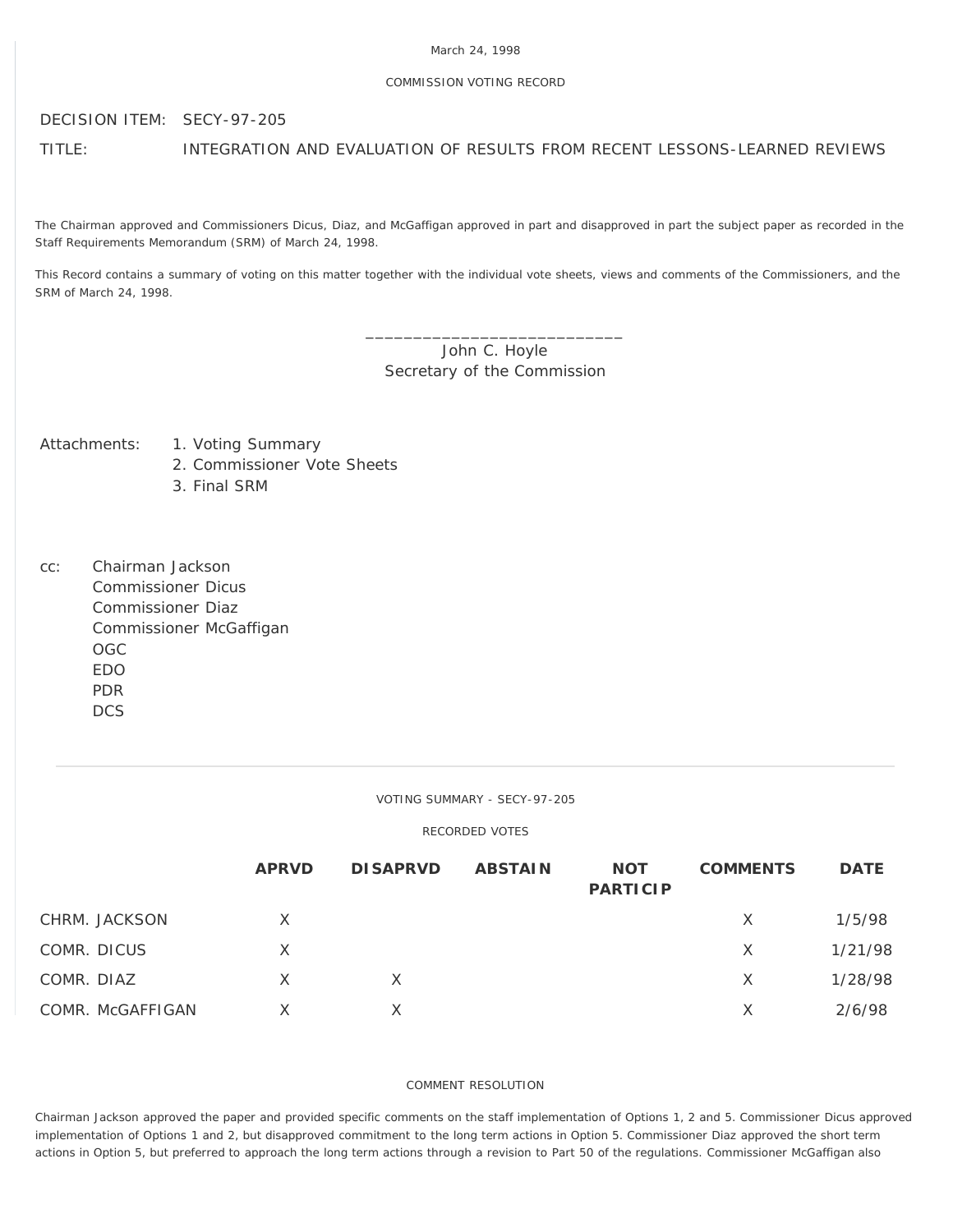### March 24, 1998

## COMMISSION VOTING RECORD

## DECISION ITEM: SECY-97-205

TITLE: INTEGRATION AND EVALUATION OF RESULTS FROM RECENT LESSONS-LEARNED REVIEWS

The Chairman approved and Commissioners Dicus, Diaz, and McGaffigan approved in part and disapproved in part the subject paper as recorded in the Staff Requirements Memorandum (SRM) of March 24, 1998.

This Record contains a summary of voting on this matter together with the individual vote sheets, views and comments of the Commissioners, and the SRM of March 24, 1998.

# \_\_\_\_\_\_\_\_\_\_\_\_\_\_\_\_\_\_\_\_\_\_\_\_\_\_\_ John C. Hoyle Secretary of the Commission

Attachments: 1. Voting Summary

- 2. Commissioner Vote Sheets
	- 3. Final SRM
- cc: Chairman Jackson Commissioner Dicus Commissioner Diaz Commissioner McGaffigan OGC EDO PDR **DCS**

#### VOTING SUMMARY - SECY-97-205

# RECORDED VOTES

|            |                  | <b>APRVD</b> | <b>DISAPRVD</b> | <b>ABSTAIN</b> | <b>NOT</b><br><b>PARTICIP</b> | <b>COMMENTS</b> | <b>DATE</b> |
|------------|------------------|--------------|-----------------|----------------|-------------------------------|-----------------|-------------|
|            | CHRM. JACKSON    | X            |                 |                |                               | X               | 1/5/98      |
|            | COMR. DICUS      | X            |                 |                |                               | X               | 1/21/98     |
| COMR. DIAZ |                  | $\times$     | X               |                |                               | X               | 1/28/98     |
|            | COMR. McGAFFIGAN |              |                 |                |                               | X               | 2/6/98      |

## COMMENT RESOLUTION

Chairman Jackson approved the paper and provided specific comments on the staff implementation of Options 1, 2 and 5. Commissioner Dicus approved implementation of Options 1 and 2, but disapproved commitment to the long term actions in Option 5. Commissioner Diaz approved the short term actions in Option 5, but preferred to approach the long term actions through a revision to Part 50 of the regulations. Commissioner McGaffigan also